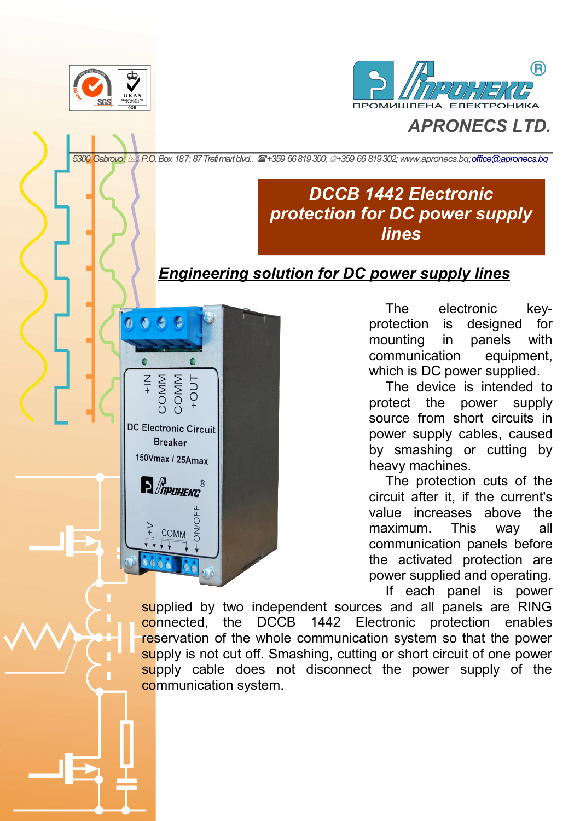

**DC Electronic Circuit Breaker** 150Vmax / 25Amax

**P** *MPOHEKC*<sup>®</sup>

**COMM** 



## *APRONECS LTD.*

*5300 Gabrovo; P.O. Box 187; 87 Treti mart blvd., +359 66 819 300; +359 66 819 302; [www.apronecs.bg;](http://www.apronecs.bg/)[office@apronecs.bg](mailto:office@apronecs.bg)* 

## *DCCB 1442 Electronic protection for DC power supply lines*

## *Engineering solution for DC power supply lines*

The electronic keyprotection is designed for mounting in panels with communication equipment, which is DC power supplied.

The device is intended to protect the power supply source from short circuits in power supply cables, caused by smashing or cutting by heavy machines.

The protection cuts of the circuit after it, if the current's value increases above the maximum. This way all communication panels before the activated protection are power supplied and operating. If each panel is power

supplied by two independent sources and all panels are RING connected, the DCCB 1442 Electronic protection enables reservation of the whole communication system so that the power supply is not cut off. Smashing, cutting or short circuit of one power supply cable does not disconnect the power supply of the communication system.